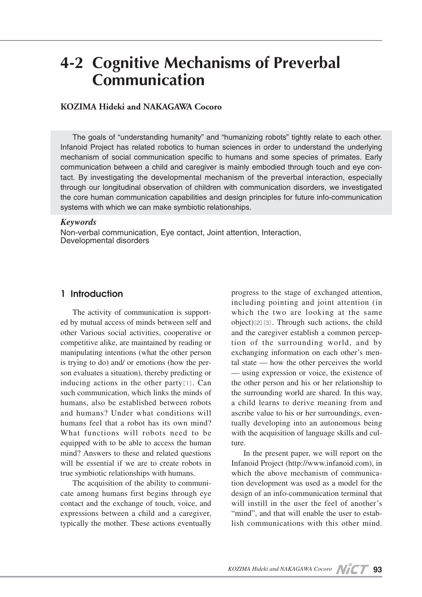# **4-2 Cognitive Mechanisms of Preverbal Communication**

# **KOZIMA Hideki and NAKAGAWA Cocoro**

The goals of "understanding humanity" and "humanizing robots" tightly relate to each other. Infanoid Project has related robotics to human sciences in order to understand the underlying mechanism of social communication specific to humans and some species of primates. Early communication between a child and caregiver is mainly embodied through touch and eye contact. By investigating the developmental mechanism of the preverbal interaction, especially through our longitudinal observation of children with communication disorders, we investigated the core human communication capabilities and design principles for future info-communication systems with which we can make symbiotic relationships.

#### *Keywords*

Non-verbal communication, Eye contact, Joint attention, Interaction, Developmental disorders

## **1 Introduction**

The activity of communication is supported by mutual access of minds between self and other Various social activities, cooperative or competitive alike, are maintained by reading or manipulating intentions (what the other person is trying to do) and/ or emotions (how the person evaluates a situation), thereby predicting or inducing actions in the other party[1]. Can such communication, which links the minds of humans, also be established between robots and humans? Under what conditions will humans feel that a robot has its own mind? What functions will robots need to be equipped with to be able to access the human mind? Answers to these and related questions will be essential if we are to create robots in true symbiotic relationships with humans.

The acquisition of the ability to communicate among humans first begins through eye contact and the exchange of touch, voice, and expressions between a child and a caregiver, typically the mother. These actions eventually progress to the stage of exchanged attention, including pointing and joint attention (in which the two are looking at the same  $object)[2][3]$ . Through such actions, the child and the caregiver establish a common perception of the surrounding world, and by exchanging information on each other's mental state — how the other perceives the world — using expression or voice, the existence of the other person and his or her relationship to the surrounding world are shared. In this way, a child learns to derive meaning from and ascribe value to his or her surroundings, eventually developing into an autonomous being with the acquisition of language skills and culture.

In the present paper, we will report on the Infanoid Project (http://www.infanoid.com), in which the above mechanism of communication development was used as a model for the design of an info-communication terminal that will instill in the user the feel of another's "mind", and that will enable the user to establish communications with this other mind.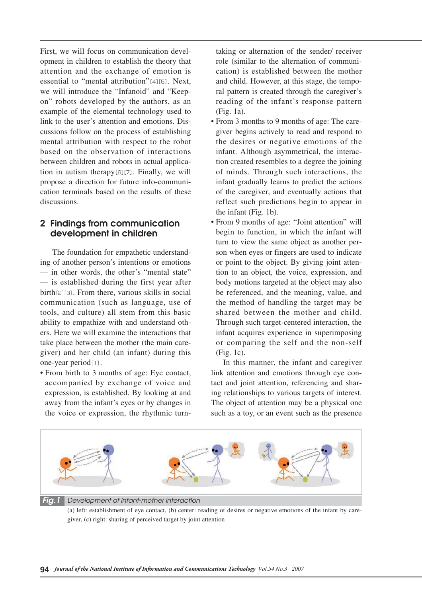First, we will focus on communication development in children to establish the theory that attention and the exchange of emotion is essential to "mental attribution"[4][5]. Next, we will introduce the "Infanoid" and "Keepon" robots developed by the authors, as an example of the elemental technology used to link to the user's attention and emotions. Discussions follow on the process of establishing mental attribution with respect to the robot based on the observation of interactions between children and robots in actual application in autism therapy[6][7]. Finally, we will propose a direction for future info-communication terminals based on the results of these discussions.

# **2 Findings from communication development in children**

The foundation for empathetic understanding of another person's intentions or emotions — in other words, the other's "mental state" — is established during the first year after birth[2][3]. From there, various skills in social communication (such as language, use of tools, and culture) all stem from this basic ability to empathize with and understand others. Here we will examine the interactions that take place between the mother (the main caregiver) and her child (an infant) during this one-year period[1].

• From birth to 3 months of age: Eye contact, accompanied by exchange of voice and expression, is established. By looking at and away from the infant's eyes or by changes in the voice or expression, the rhythmic turntaking or alternation of the sender/ receiver role (similar to the alternation of communication) is established between the mother and child. However, at this stage, the temporal pattern is created through the caregiver's reading of the infant's response pattern (Fig. 1a).

- From 3 months to 9 months of age: The caregiver begins actively to read and respond to the desires or negative emotions of the infant. Although asymmetrical, the interaction created resembles to a degree the joining of minds. Through such interactions, the infant gradually learns to predict the actions of the caregiver, and eventually actions that reflect such predictions begin to appear in the infant (Fig. 1b).
- From 9 months of age: "Joint attention" will begin to function, in which the infant will turn to view the same object as another person when eyes or fingers are used to indicate or point to the object. By giving joint attention to an object, the voice, expression, and body motions targeted at the object may also be referenced, and the meaning, value, and the method of handling the target may be shared between the mother and child. Through such target-centered interaction, the infant acquires experience in superimposing or comparing the self and the non-self (Fig. 1c).

In this manner, the infant and caregiver link attention and emotions through eye contact and joint attention, referencing and sharing relationships to various targets of interest. The object of attention may be a physical one such as a toy, or an event such as the presence



(a) left: establishment of eye contact, (b) center: reading of desires or negative emotions of the infant by caregiver, (c) right: sharing of perceived target by joint attention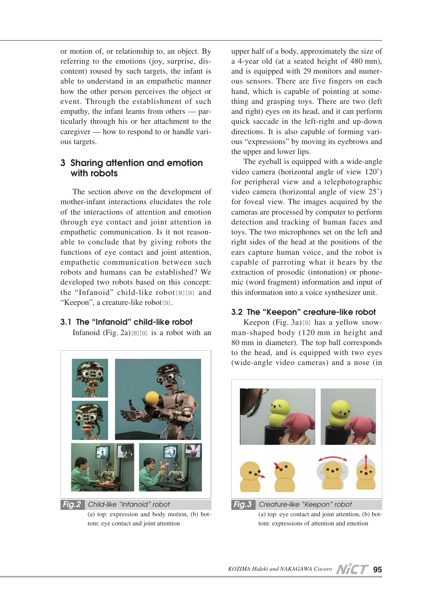or motion of, or relationship to, an object. By referring to the emotions (joy, surprise, discontent) roused by such targets, the infant is able to understand in an empathetic manner how the other person perceives the object or event. Through the establishment of such empathy, the infant learns from others — particularly through his or her attachment to the caregiver — how to respond to or handle various targets.

# **3 Sharing attention and emotion with robots**

The section above on the development of mother-infant interactions elucidates the role of the interactions of attention and emotion through eye contact and joint attention in empathetic communication. Is it not reasonable to conclude that by giving robots the functions of eye contact and joint attention, empathetic communication between such robots and humans can be established? We developed two robots based on this concept: the "Infanoid" child-like robot[8][9] and "Keepon", a creature-like robot<sup>[9]</sup>.

## **3.1 The "Infanoid" child-like robot**

Infanoid  $(Fig. 2a)$ [8][9] is a robot with an



*Fig.2 Child-like "Infanoid" robot* (a) top: expression and body motion, (b) bottom: eye contact and joint attention

upper half of a body, approximately the size of a 4-year old (at a seated height of 480 mm), and is equipped with 29 monitors and numerous sensors. There are five fingers on each hand, which is capable of pointing at something and grasping toys. There are two (left and right) eyes on its head, and it can perform quick saccade in the left-right and up-down directions. It is also capable of forming various "expressions" by moving its eyebrows and the upper and lower lips.

The eyeball is equipped with a wide-angle video camera (horizontal angle of view 120˚) for peripheral view and a telephotographic video camera (horizontal angle of view 25˚) for foveal view. The images acquired by the cameras are processed by computer to perform detection and tracking of human faces and toys. The two microphones set on the left and right sides of the head at the positions of the ears capture human voice, and the robot is capable of parroting what it hears by the extraction of prosodic (intonation) or phonemic (word fragment) information and input of this information into a voice synthesizer unit.

## **3.2 The "Keepon" creature-like robot**

Keepon (Fig. 3a)[9] has a yellow snowman-shaped body (120 mm in height and 80 mm in diameter). The top ball corresponds to the head, and is equipped with two eyes (wide-angle video cameras) and a nose (in



(a) top: eye contact and joint attention, (b) bottom: expressions of attention and emotion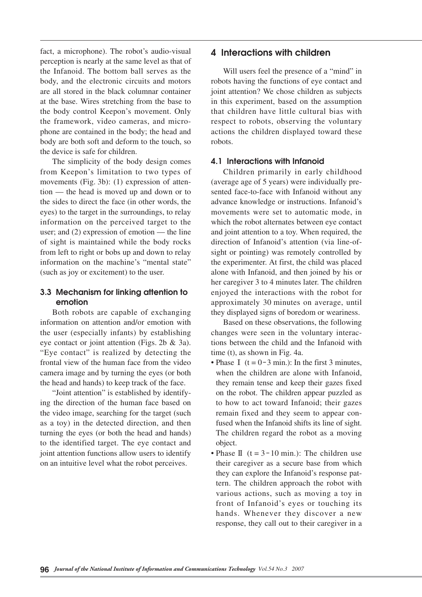fact, a microphone). The robot's audio-visual perception is nearly at the same level as that of the Infanoid. The bottom ball serves as the body, and the electronic circuits and motors are all stored in the black columnar container at the base. Wires stretching from the base to the body control Keepon's movement. Only the framework, video cameras, and microphone are contained in the body; the head and body are both soft and deform to the touch, so the device is safe for children.

The simplicity of the body design comes from Keepon's limitation to two types of movements (Fig. 3b): (1) expression of attention — the head is moved up and down or to the sides to direct the face (in other words, the eyes) to the target in the surroundings, to relay information on the perceived target to the user; and (2) expression of emotion — the line of sight is maintained while the body rocks from left to right or bobs up and down to relay information on the machine's "mental state" (such as joy or excitement) to the user.

# **3.3 Mechanism for linking attention to emotion**

Both robots are capable of exchanging information on attention and/or emotion with the user (especially infants) by establishing eye contact or joint attention (Figs. 2b & 3a). "Eye contact" is realized by detecting the frontal view of the human face from the video camera image and by turning the eyes (or both the head and hands) to keep track of the face.

"Joint attention" is established by identifying the direction of the human face based on the video image, searching for the target (such as a toy) in the detected direction, and then turning the eyes (or both the head and hands) to the identified target. The eye contact and joint attention functions allow users to identify on an intuitive level what the robot perceives.

# **4 Interactions with children**

Will users feel the presence of a "mind" in robots having the functions of eye contact and joint attention? We chose children as subjects in this experiment, based on the assumption that children have little cultural bias with respect to robots, observing the voluntary actions the children displayed toward these robots.

## **4.1 Interactions with Infanoid**

Children primarily in early childhood (average age of 5 years) were individually presented face-to-face with Infanoid without any advance knowledge or instructions. Infanoid's movements were set to automatic mode, in which the robot alternates between eye contact and joint attention to a toy. When required, the direction of Infanoid's attention (via line-ofsight or pointing) was remotely controlled by the experimenter. At first, the child was placed alone with Infanoid, and then joined by his or her caregiver 3 to 4 minutes later. The children enjoyed the interactions with the robot for approximately 30 minutes on average, until they displayed signs of boredom or weariness.

Based on these observations, the following changes were seen in the voluntary interactions between the child and the Infanoid with time (t), as shown in Fig. 4a.

- Phase  $I(t = 0-3$  min.): In the first 3 minutes, when the children are alone with Infanoid, they remain tense and keep their gazes fixed on the robot. The children appear puzzled as to how to act toward Infanoid; their gazes remain fixed and they seem to appear confused when the Infanoid shifts its line of sight. The children regard the robot as a moving object.
- Phase II  $(t = 3 10 \text{ min.})$ : The children use their caregiver as a secure base from which they can explore the Infanoid's response pattern. The children approach the robot with various actions, such as moving a toy in front of Infanoid's eyes or touching its hands. Whenever they discover a new response, they call out to their caregiver in a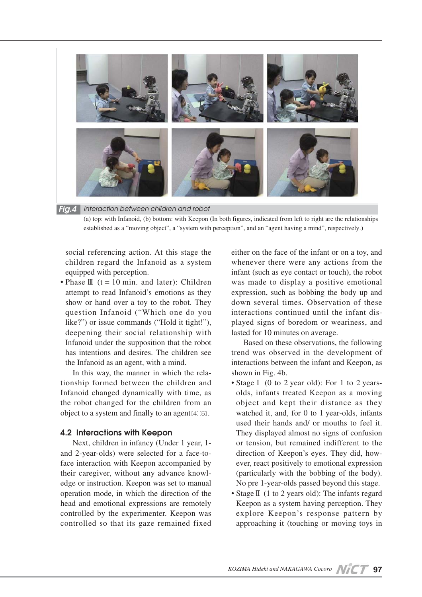

(a) top: with Infanoid, (b) bottom: with Keepon (In both figures, indicated from left to right are the relationships established as a "moving object", a "system with perception", and an "agent having a mind", respectively.)

social referencing action. At this stage the children regard the Infanoid as a system equipped with perception.

• Phase  $\mathbb{I}$  (t = 10 min. and later): Children attempt to read Infanoid's emotions as they show or hand over a toy to the robot. They question Infanoid ("Which one do you like?") or issue commands ("Hold it tight!"), deepening their social relationship with Infanoid under the supposition that the robot has intentions and desires. The children see the Infanoid as an agent, with a mind.

In this way, the manner in which the relationship formed between the children and Infanoid changed dynamically with time, as the robot changed for the children from an object to a system and finally to an agent[4][5].

#### **4.2 Interactions with Keepon**

Next, children in infancy (Under 1 year, 1 and 2-year-olds) were selected for a face-toface interaction with Keepon accompanied by their caregiver, without any advance knowledge or instruction. Keepon was set to manual operation mode, in which the direction of the head and emotional expressions are remotely controlled by the experimenter. Keepon was controlled so that its gaze remained fixed either on the face of the infant or on a toy, and whenever there were any actions from the infant (such as eye contact or touch), the robot was made to display a positive emotional expression, such as bobbing the body up and down several times. Observation of these interactions continued until the infant displayed signs of boredom or weariness, and lasted for 10 minutes on average.

Based on these observations, the following trend was observed in the development of interactions between the infant and Keepon, as shown in Fig. 4b.

- Stage I (0 to 2 year old): For 1 to 2 yearsolds, infants treated Keepon as a moving object and kept their distance as they watched it, and, for  $0$  to 1 year-olds, infants used their hands and/ or mouths to feel it. They displayed almost no signs of confusion or tension, but remained indifferent to the direction of Keepon's eyes. They did, however, react positively to emotional expression (particularly with the bobbing of the body). No pre 1-year-olds passed beyond this stage.
- Stage**Ⅱ** (1 to 2 years old): The infants regard Keepon as a system having perception. They explore Keepon's response pattern by approaching it (touching or moving toys in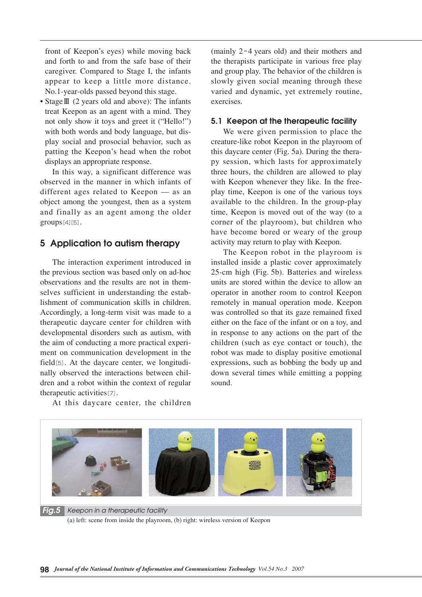front of Keepon's eyes) while moving back and forth to and from the safe base of their caregiver. Compared to Stage I, the infants appear to keep a little more distance. No.1-year-olds passed beyond this stage.

• Stage**Ⅲ** (2 years old and above): The infants treat Keepon as an agent with a mind. They not only show it toys and greet it ("Hello!") with both words and body language, but display social and prosocial behavior, such as patting the Keepon's head when the robot displays an appropriate response.

In this way, a significant difference was observed in the manner in which infants of different ages related to Keepon — as an object among the youngest, then as a system and finally as an agent among the older groups[4][5].

# **5 Application to autism therapy**

The interaction experiment introduced in the previous section was based only on ad-hoc observations and the results are not in themselves sufficient in understanding the establishment of communication skills in children. Accordingly, a long-term visit was made to a therapeutic daycare center for children with developmental disorders such as autism, with the aim of conducting a more practical experiment on communication development in the field[5]. At the daycare center, we longitudinally observed the interactions between children and a robot within the context of regular therapeutic activities[7].

(mainly 2-4 years old) and their mothers and the therapists participate in various free play and group play. The behavior of the children is slowly given social meaning through these varied and dynamic, yet extremely routine, exercises.

#### **5.1 Keepon at the therapeutic facility**

We were given permission to place the creature-like robot Keepon in the playroom of this daycare center (Fig. 5a). During the therapy session, which lasts for approximately three hours, the children are allowed to play with Keepon whenever they like. In the freeplay time, Keepon is one of the various toys available to the children. In the group-play time, Keepon is moved out of the way (to a corner of the playroom), but children who have become bored or weary of the group activity may return to play with Keepon.

The Keepon robot in the playroom is installed inside a plastic cover approximately 25-cm high (Fig. 5b). Batteries and wireless units are stored within the device to allow an operator in another room to control Keepon remotely in manual operation mode. Keepon was controlled so that its gaze remained fixed either on the face of the infant or on a toy, and in response to any actions on the part of the children (such as eye contact or touch), the robot was made to display positive emotional expressions, such as bobbing the body up and down several times while emitting a popping sound.

At this daycare center, the children



*Fig.5 Keepon in a therapeutic facility* (a) left: scene from inside the playroom, (b) right: wireless version of Keepon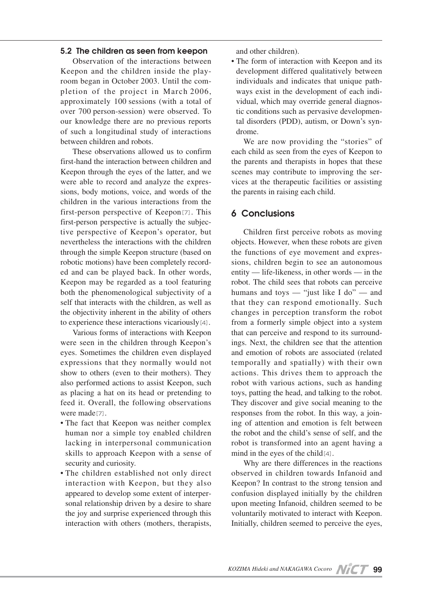#### **5.2 The children as seen from keepon**

Observation of the interactions between Keepon and the children inside the playroom began in October 2003. Until the completion of the project in March 2006, approximately 100 sessions (with a total of over 700 person-session) were observed. To our knowledge there are no previous reports of such a longitudinal study of interactions between children and robots.

These observations allowed us to confirm first-hand the interaction between children and Keepon through the eyes of the latter, and we were able to record and analyze the expressions, body motions, voice, and words of the children in the various interactions from the first-person perspective of Keepon[7]. This first-person perspective is actually the subjective perspective of Keepon's operator, but nevertheless the interactions with the children through the simple Keepon structure (based on robotic motions) have been completely recorded and can be played back. In other words, Keepon may be regarded as a tool featuring both the phenomenological subjectivity of a self that interacts with the children, as well as the objectivity inherent in the ability of others to experience these interactions vicariously[4].

Various forms of interactions with Keepon were seen in the children through Keepon's eyes. Sometimes the children even displayed expressions that they normally would not show to others (even to their mothers). They also performed actions to assist Keepon, such as placing a hat on its head or pretending to feed it. Overall, the following observations were made<sup>[7]</sup>.

- The fact that Keepon was neither complex human nor a simple toy enabled children lacking in interpersonal communication skills to approach Keepon with a sense of security and curiosity.
- The children established not only direct interaction with Keepon, but they also appeared to develop some extent of interpersonal relationship driven by a desire to share the joy and surprise experienced through this interaction with others (mothers, therapists,

and other children).

• The form of interaction with Keepon and its development differed qualitatively between individuals and indicates that unique pathways exist in the development of each individual, which may override general diagnostic conditions such as pervasive developmental disorders (PDD), autism, or Down's syndrome.

We are now providing the "stories" of each child as seen from the eyes of Keepon to the parents and therapists in hopes that these scenes may contribute to improving the services at the therapeutic facilities or assisting the parents in raising each child.

# **6 Conclusions**

Children first perceive robots as moving objects. However, when these robots are given the functions of eye movement and expressions, children begin to see an autonomous entity — life-likeness, in other words — in the robot. The child sees that robots can perceive humans and toys — "just like I do" — and that they can respond emotionally. Such changes in perception transform the robot from a formerly simple object into a system that can perceive and respond to its surroundings. Next, the children see that the attention and emotion of robots are associated (related temporally and spatially) with their own actions. This drives them to approach the robot with various actions, such as handing toys, patting the head, and talking to the robot. They discover and give social meaning to the responses from the robot. In this way, a joining of attention and emotion is felt between the robot and the child's sense of self, and the robot is transformed into an agent having a mind in the eyes of the child[4].

Why are there differences in the reactions observed in children towards Infanoid and Keepon? In contrast to the strong tension and confusion displayed initially by the children upon meeting Infanoid, children seemed to be voluntarily motivated to interact with Keepon. Initially, children seemed to perceive the eyes,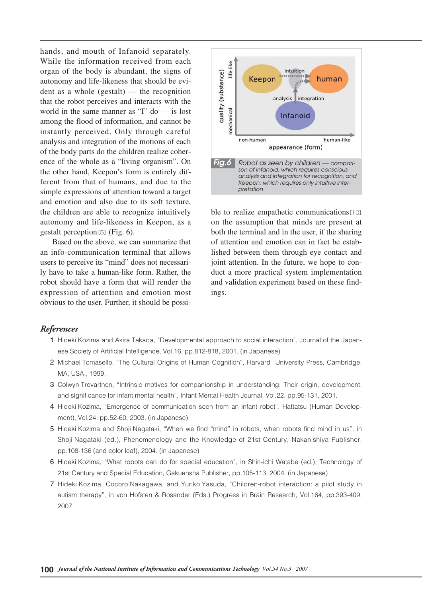hands, and mouth of Infanoid separately. While the information received from each organ of the body is abundant, the signs of autonomy and life-likeness that should be evident as a whole (gestalt) — the recognition that the robot perceives and interacts with the world in the same manner as "I" do — is lost among the flood of information, and cannot be instantly perceived. Only through careful analysis and integration of the motions of each of the body parts do the children realize coherence of the whole as a "living organism". On the other hand, Keepon's form is entirely different from that of humans, and due to the simple expressions of attention toward a target and emotion and also due to its soft texture, the children are able to recognize intuitively autonomy and life-likeness in Keepon, as a gestalt perception[5](Fig. 6).

Based on the above, we can summarize that an info-communication terminal that allows users to perceive its "mind" does not necessarily have to take a human-like form. Rather, the robot should have a form that will render the expression of attention and emotion most obvious to the user. Further, it should be possi-



ble to realize empathetic communications<sup>[10]</sup> on the assumption that minds are present at both the terminal and in the user, if the sharing of attention and emotion can in fact be established between them through eye contact and joint attention. In the future, we hope to conduct a more practical system implementation and validation experiment based on these findings.

#### *References*

- 01 Hideki Kozima and Akira Takada, "Developmental approach to social interaction", Journal of the Japanese Society of Artificial Intelligence, Vol.16, pp.812-818, 2001. (in Japanese)
- 2 Michael Tomasello, "The Cultural Origins of Human Cognition", Harvard University Press, Cambridge, MA, USA., 1999.
- 3 Colwyn Trevarthen, "Intrinsic motives for companionship in understanding: Their origin, development, and significance for infant mental health", Infant Mental Health Journal, Vol.22, pp.95-131, 2001.
- 04 Hideki Kozima, "Emergence of communication seen from an infant robot", Hattatsu (Human Development), Vol.24, pp.52-60, 2003. (in Japanese)
- 05 Hideki Kozima and Shoji Nagataki, "When we find "mind" in robots, when robots find mind in us", in Shoji Nagataki (ed.), Phenomenology and the Knowledge of 21st Century, Nakanishiya Publisher, pp.108-136 (and color leaf), 2004. (in Japanese)
- 06 Hideki Kozima, "What robots can do for special education", in Shin-ichi Watabe (ed.), Technology of 21st Century and Special Education, Gakuensha Publisher, pp.105-113, 2004. (in Japanese)
- 07 Hideki Kozima, Cocoro Nakagawa, and Yuriko Yasuda, "Children-robot interaction: a pilot study in autism therapy", in von Hofsten & Rosander (Eds.) Progress in Brain Research, Vol.164, pp.393-409, 2007.